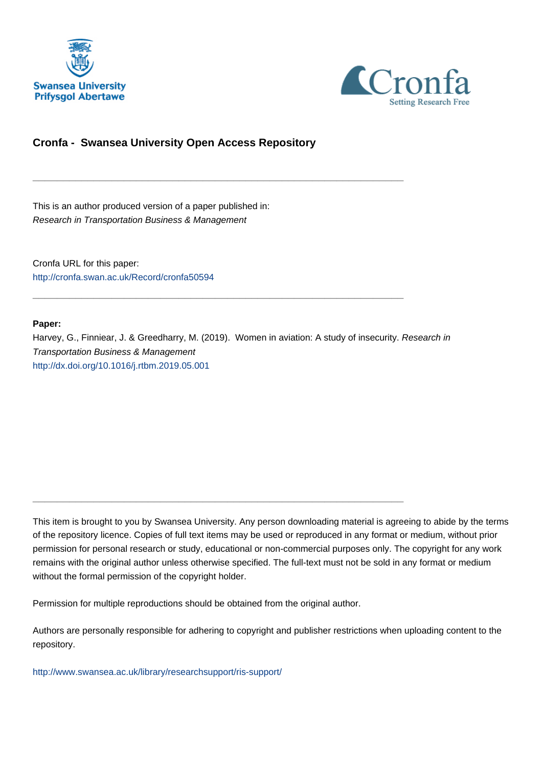



# **Cronfa - Swansea University Open Access Repository**

\_\_\_\_\_\_\_\_\_\_\_\_\_\_\_\_\_\_\_\_\_\_\_\_\_\_\_\_\_\_\_\_\_\_\_\_\_\_\_\_\_\_\_\_\_\_\_\_\_\_\_\_\_\_\_\_\_\_\_\_\_

\_\_\_\_\_\_\_\_\_\_\_\_\_\_\_\_\_\_\_\_\_\_\_\_\_\_\_\_\_\_\_\_\_\_\_\_\_\_\_\_\_\_\_\_\_\_\_\_\_\_\_\_\_\_\_\_\_\_\_\_\_

\_\_\_\_\_\_\_\_\_\_\_\_\_\_\_\_\_\_\_\_\_\_\_\_\_\_\_\_\_\_\_\_\_\_\_\_\_\_\_\_\_\_\_\_\_\_\_\_\_\_\_\_\_\_\_\_\_\_\_\_\_

This is an author produced version of a paper published in: Research in Transportation Business & Management

Cronfa URL for this paper: <http://cronfa.swan.ac.uk/Record/cronfa50594>

#### **Paper:**

Harvey, G., Finniear, J. & Greedharry, M. (2019). Women in aviation: A study of insecurity. Research in Transportation Business & Management <http://dx.doi.org/10.1016/j.rtbm.2019.05.001>

This item is brought to you by Swansea University. Any person downloading material is agreeing to abide by the terms of the repository licence. Copies of full text items may be used or reproduced in any format or medium, without prior permission for personal research or study, educational or non-commercial purposes only. The copyright for any work remains with the original author unless otherwise specified. The full-text must not be sold in any format or medium without the formal permission of the copyright holder.

Permission for multiple reproductions should be obtained from the original author.

Authors are personally responsible for adhering to copyright and publisher restrictions when uploading content to the repository.

[http://www.swansea.ac.uk/library/researchsupport/ris-support/](http://www.swansea.ac.uk/library/researchsupport/ris-support/ )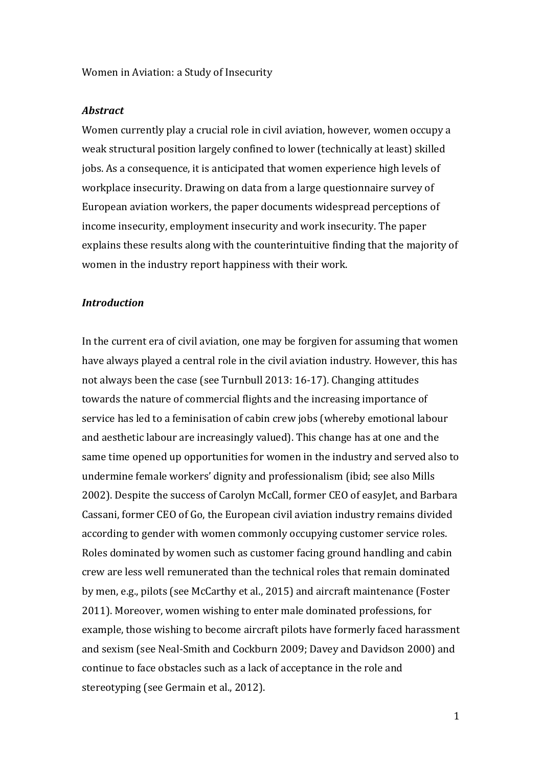Women in Aviation: a Study of Insecurity

### *Abstract*

Women currently play a crucial role in civil aviation, however, women occupy a weak structural position largely confined to lower (technically at least) skilled jobs. As a consequence, it is anticipated that women experience high levels of workplace insecurity. Drawing on data from a large questionnaire survey of European aviation workers, the paper documents widespread perceptions of income insecurity, employment insecurity and work insecurity. The paper explains these results along with the counterintuitive finding that the majority of women in the industry report happiness with their work.

### *Introduction*

In the current era of civil aviation, one may be forgiven for assuming that women have always played a central role in the civil aviation industry. However, this has not always been the case (see Turnbull 2013: 16-17). Changing attitudes towards the nature of commercial flights and the increasing importance of service has led to a feminisation of cabin crew jobs (whereby emotional labour and aesthetic labour are increasingly valued). This change has at one and the same time opened up opportunities for women in the industry and served also to undermine female workers' dignity and professionalism (ibid; see also Mills 2002). Despite the success of Carolyn McCall, former CEO of easyJet, and Barbara Cassani, former CEO of Go, the European civil aviation industry remains divided according to gender with women commonly occupying customer service roles. Roles dominated by women such as customer facing ground handling and cabin crew are less well remunerated than the technical roles that remain dominated by men, e.g., pilots (see McCarthy et al., 2015) and aircraft maintenance (Foster 2011). Moreover, women wishing to enter male dominated professions, for example, those wishing to become aircraft pilots have formerly faced harassment and sexism (see Neal-Smith and Cockburn 2009; Davey and Davidson 2000) and continue to face obstacles such as a lack of acceptance in the role and stereotyping (see Germain et al., 2012).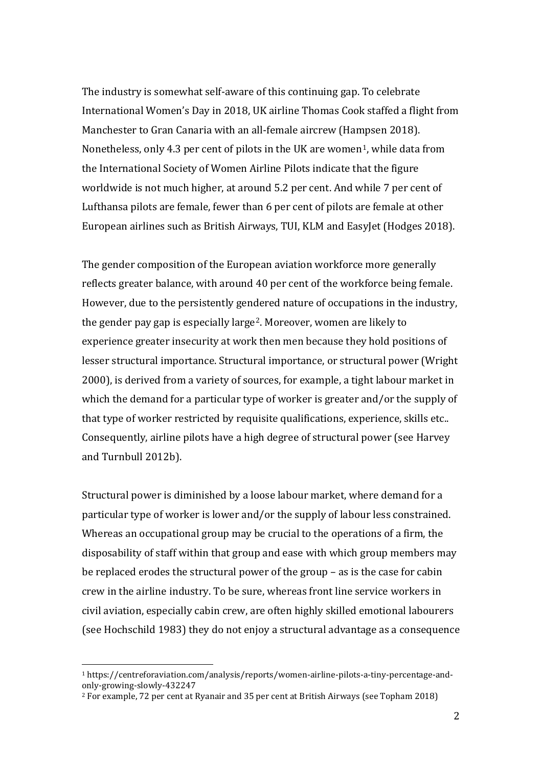The industry is somewhat self-aware of this continuing gap. To celebrate International Women's Day in 2018, UK airline Thomas Cook staffed a flight from Manchester to Gran Canaria with an all-female aircrew (Hampsen 2018). Nonetheless, only 4.3 per cent of pilots in the UK are women<sup>1</sup>, while data from the International Society of Women Airline Pilots indicate that the figure worldwide is not much higher, at around 5.2 per cent. And while 7 per cent of Lufthansa pilots are female, fewer than 6 per cent of pilots are female at other European airlines such as British Airways, TUI, KLM and EasyJet (Hodges 2018).

The gender composition of the European aviation workforce more generally reflects greater balance, with around 40 per cent of the workforce being female. However, due to the persistently gendered nature of occupations in the industry, the gender pay gap is especially large2. Moreover, women are likely to experience greater insecurity at work then men because they hold positions of lesser structural importance. Structural importance, or structural power (Wright 2000), is derived from a variety of sources, for example, a tight labour market in which the demand for a particular type of worker is greater and/or the supply of that type of worker restricted by requisite qualifications, experience, skills etc.. Consequently, airline pilots have a high degree of structural power (see Harvey and Turnbull 2012b).

Structural power is diminished by a loose labour market, where demand for a particular type of worker is lower and/or the supply of labour less constrained. Whereas an occupational group may be crucial to the operations of a firm, the disposability of staff within that group and ease with which group members may be replaced erodes the structural power of the group – as is the case for cabin crew in the airline industry. To be sure, whereas front line service workers in civil aviation, especially cabin crew, are often highly skilled emotional labourers (see Hochschild 1983) they do not enjoy a structural advantage as a consequence

 <sup>1</sup> https://centreforaviation.com/analysis/reports/women-airline-pilots-a-tiny-percentage-andonly-growing-slowly-432247

<sup>2</sup> For example, 72 per cent at Ryanair and 35 per cent at British Airways (see Topham 2018)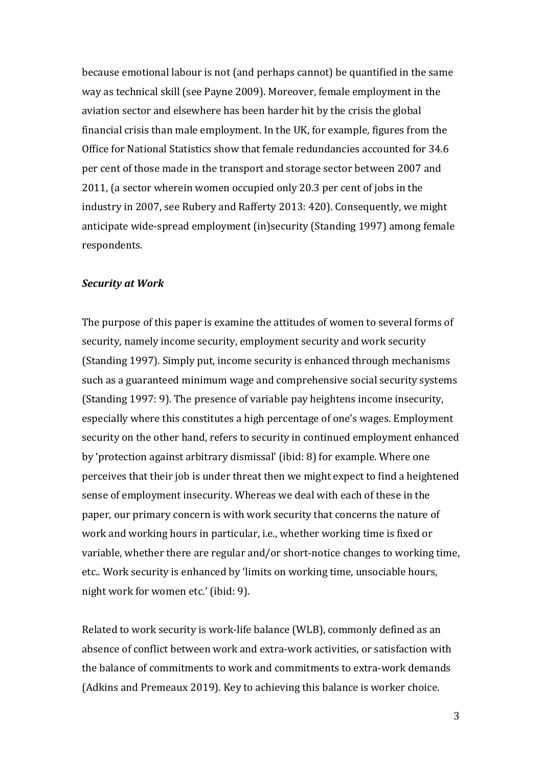because emotional labour is not (and perhaps cannot) be quantified in the same way as technical skill (see Payne 2009). Moreover, female employment in the aviation sector and elsewhere has been harder hit by the crisis the global financial crisis than male employment. In the UK, for example, figures from the Office for National Statistics show that female redundancies accounted for 34.6 per cent of those made in the transport and storage sector between 2007 and 2011, (a sector wherein women occupied only 20.3 per cent of jobs in the industry in 2007, see Rubery and Rafferty 2013: 420). Consequently, we might anticipate wide-spread employment (in)security (Standing 1997) among female respondents.

### *Security at Work*

The purpose of this paper is examine the attitudes of women to several forms of security, namely income security, employment security and work security (Standing 1997). Simply put, income security is enhanced through mechanisms such as a guaranteed minimum wage and comprehensive social security systems (Standing 1997: 9). The presence of variable pay heightens income insecurity, especially where this constitutes a high percentage of one's wages. Employment security on the other hand, refers to security in continued employment enhanced by 'protection against arbitrary dismissal' (ibid: 8) for example. Where one perceives that their job is under threat then we might expect to find a heightened sense of employment insecurity. Whereas we deal with each of these in the paper, our primary concern is with work security that concerns the nature of work and working hours in particular, i.e., whether working time is fixed or variable, whether there are regular and/or short-notice changes to working time, etc.. Work security is enhanced by 'limits on working time, unsociable hours, night work for women etc.' (ibid: 9).

Related to work security is work-life balance (WLB), commonly defined as an absence of conflict between work and extra-work activities, or satisfaction with the balance of commitments to work and commitments to extra-work demands (Adkins and Premeaux 2019). Key to achieving this balance is worker choice.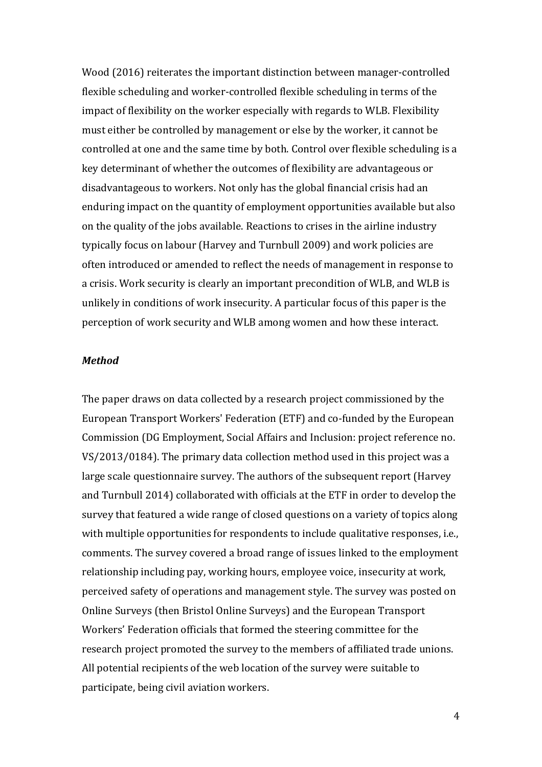Wood (2016) reiterates the important distinction between manager-controlled flexible scheduling and worker-controlled flexible scheduling in terms of the impact of flexibility on the worker especially with regards to WLB. Flexibility must either be controlled by management or else by the worker, it cannot be controlled at one and the same time by both. Control over flexible scheduling is a key determinant of whether the outcomes of flexibility are advantageous or disadvantageous to workers. Not only has the global financial crisis had an enduring impact on the quantity of employment opportunities available but also on the quality of the jobs available. Reactions to crises in the airline industry typically focus on labour (Harvey and Turnbull 2009) and work policies are often introduced or amended to reflect the needs of management in response to a crisis. Work security is clearly an important precondition of WLB, and WLB is unlikely in conditions of work insecurity. A particular focus of this paper is the perception of work security and WLB among women and how these interact.

#### *Method*

The paper draws on data collected by a research project commissioned by the European Transport Workers' Federation (ETF) and co-funded by the European Commission (DG Employment, Social Affairs and Inclusion: project reference no. VS/2013/0184). The primary data collection method used in this project was a large scale questionnaire survey. The authors of the subsequent report (Harvey and Turnbull 2014) collaborated with officials at the ETF in order to develop the survey that featured a wide range of closed questions on a variety of topics along with multiple opportunities for respondents to include qualitative responses, i.e., comments. The survey covered a broad range of issues linked to the employment relationship including pay, working hours, employee voice, insecurity at work, perceived safety of operations and management style. The survey was posted on Online Surveys (then Bristol Online Surveys) and the European Transport Workers' Federation officials that formed the steering committee for the research project promoted the survey to the members of affiliated trade unions. All potential recipients of the web location of the survey were suitable to participate, being civil aviation workers.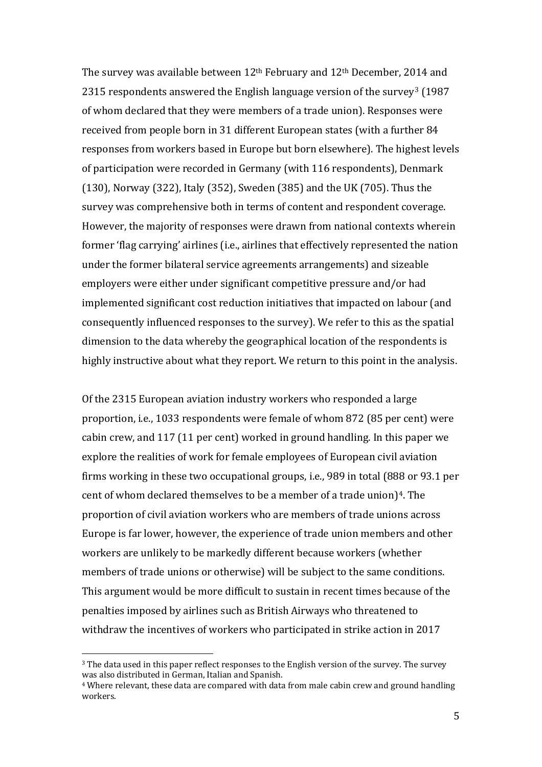The survey was available between 12th February and 12th December, 2014 and 2315 respondents answered the English language version of the survey<sup>3</sup> (1987) of whom declared that they were members of a trade union). Responses were received from people born in 31 different European states (with a further 84 responses from workers based in Europe but born elsewhere). The highest levels of participation were recorded in Germany (with 116 respondents), Denmark (130), Norway (322), Italy (352), Sweden (385) and the UK (705). Thus the survey was comprehensive both in terms of content and respondent coverage. However, the majority of responses were drawn from national contexts wherein former 'flag carrying' airlines (i.e., airlines that effectively represented the nation under the former bilateral service agreements arrangements) and sizeable employers were either under significant competitive pressure and/or had implemented significant cost reduction initiatives that impacted on labour (and consequently influenced responses to the survey). We refer to this as the spatial dimension to the data whereby the geographical location of the respondents is highly instructive about what they report. We return to this point in the analysis.

Of the 2315 European aviation industry workers who responded a large proportion, i.e., 1033 respondents were female of whom 872 (85 per cent) were cabin crew, and 117 (11 per cent) worked in ground handling. In this paper we explore the realities of work for female employees of European civil aviation firms working in these two occupational groups, i.e., 989 in total (888 or 93.1 per cent of whom declared themselves to be a member of a trade union)<sup>4</sup>. The proportion of civil aviation workers who are members of trade unions across Europe is far lower, however, the experience of trade union members and other workers are unlikely to be markedly different because workers (whether members of trade unions or otherwise) will be subject to the same conditions. This argument would be more difficult to sustain in recent times because of the penalties imposed by airlines such as British Airways who threatened to withdraw the incentives of workers who participated in strike action in 2017

<sup>&</sup>lt;sup>3</sup> The data used in this paper reflect responses to the English version of the survey. The survey was also distributed in German, Italian and Spanish.

<sup>4</sup> Where relevant, these data are compared with data from male cabin crew and ground handling workers.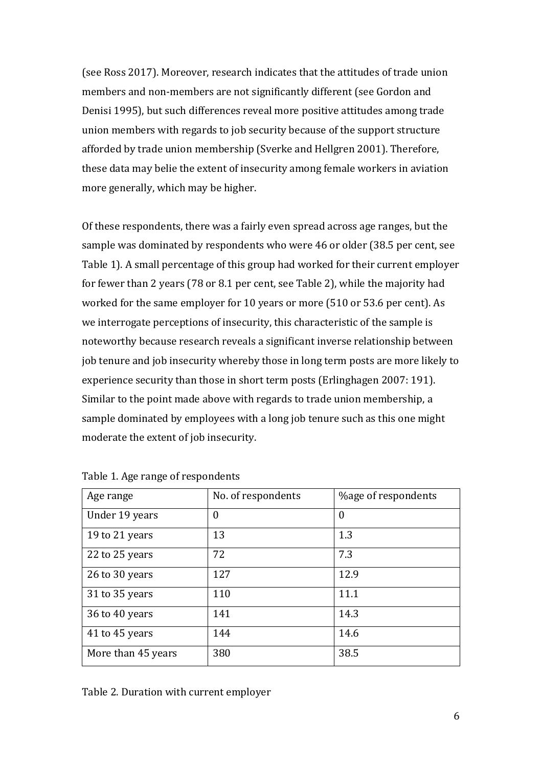(see Ross 2017). Moreover, research indicates that the attitudes of trade union members and non-members are not significantly different (see Gordon and Denisi 1995), but such differences reveal more positive attitudes among trade union members with regards to job security because of the support structure afforded by trade union membership (Sverke and Hellgren 2001). Therefore, these data may belie the extent of insecurity among female workers in aviation more generally, which may be higher.

Of these respondents, there was a fairly even spread across age ranges, but the sample was dominated by respondents who were 46 or older (38.5 per cent, see Table 1). A small percentage of this group had worked for their current employer for fewer than 2 years (78 or 8.1 per cent, see Table 2), while the majority had worked for the same employer for 10 years or more (510 or 53.6 per cent). As we interrogate perceptions of insecurity, this characteristic of the sample is noteworthy because research reveals a significant inverse relationship between job tenure and job insecurity whereby those in long term posts are more likely to experience security than those in short term posts (Erlinghagen 2007: 191). Similar to the point made above with regards to trade union membership, a sample dominated by employees with a long job tenure such as this one might moderate the extent of job insecurity.

| Age range          | No. of respondents | %age of respondents |  |
|--------------------|--------------------|---------------------|--|
| Under 19 years     | $\boldsymbol{0}$   | $\boldsymbol{0}$    |  |
| 19 to 21 years     | 13                 | 1.3                 |  |
| 22 to 25 years     | 72                 | 7.3                 |  |
| 26 to 30 years     | 127                | 12.9                |  |
| 31 to 35 years     | 110                | 11.1                |  |
| 36 to 40 years     | 141                | 14.3                |  |
| 41 to 45 years     | 144                | 14.6                |  |
| More than 45 years | 380                | 38.5                |  |

| Table 1. Age range of respondents |  |
|-----------------------------------|--|
|-----------------------------------|--|

Table 2. Duration with current employer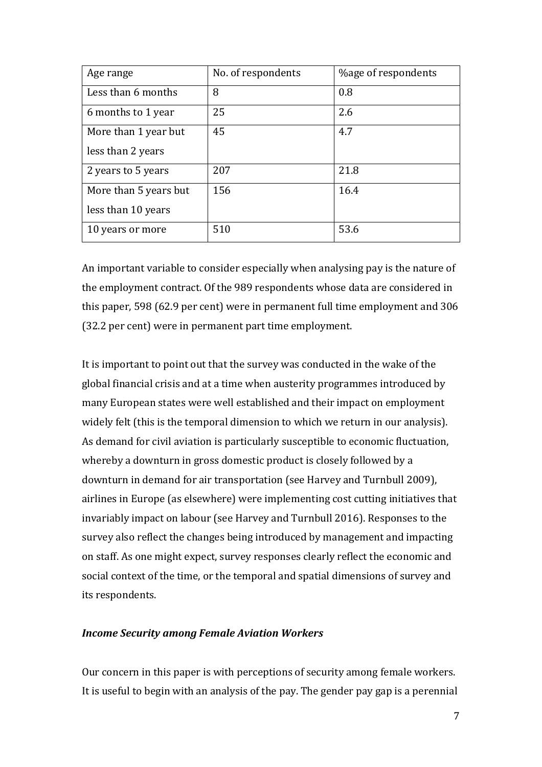| Age range             | No. of respondents | <b>%age of respondents</b> |  |
|-----------------------|--------------------|----------------------------|--|
| Less than 6 months    | 8                  | 0.8                        |  |
| 6 months to 1 year    | 25                 | 2.6                        |  |
| More than 1 year but  | 45                 | 4.7                        |  |
| less than 2 years     |                    |                            |  |
| 2 years to 5 years    | 207                | 21.8                       |  |
| More than 5 years but | 156                | 16.4                       |  |
| less than 10 years    |                    |                            |  |
| 10 years or more      | 510                | 53.6                       |  |

An important variable to consider especially when analysing pay is the nature of the employment contract. Of the 989 respondents whose data are considered in this paper, 598 (62.9 per cent) were in permanent full time employment and 306 (32.2 per cent) were in permanent part time employment.

It is important to point out that the survey was conducted in the wake of the global financial crisis and at a time when austerity programmes introduced by many European states were well established and their impact on employment widely felt (this is the temporal dimension to which we return in our analysis). As demand for civil aviation is particularly susceptible to economic fluctuation, whereby a downturn in gross domestic product is closely followed by a downturn in demand for air transportation (see Harvey and Turnbull 2009), airlines in Europe (as elsewhere) were implementing cost cutting initiatives that invariably impact on labour (see Harvey and Turnbull 2016). Responses to the survey also reflect the changes being introduced by management and impacting on staff. As one might expect, survey responses clearly reflect the economic and social context of the time, or the temporal and spatial dimensions of survey and its respondents.

## *Income Security among Female Aviation Workers*

Our concern in this paper is with perceptions of security among female workers. It is useful to begin with an analysis of the pay. The gender pay gap is a perennial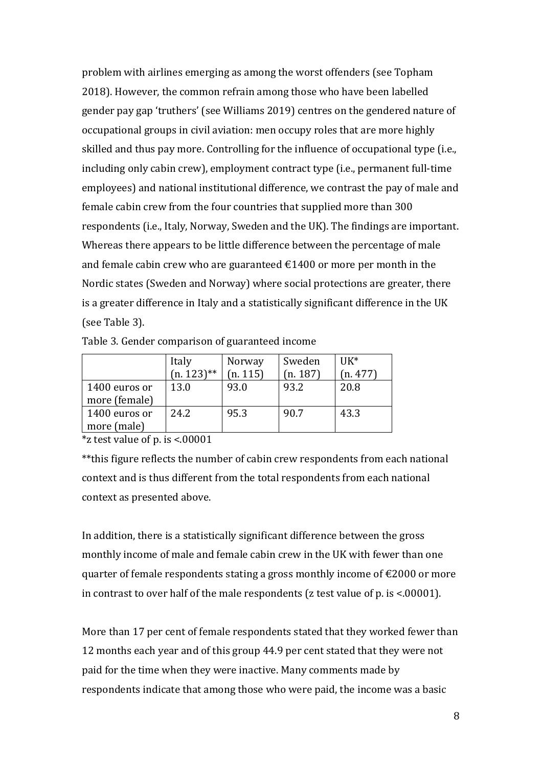problem with airlines emerging as among the worst offenders (see Topham 2018). However, the common refrain among those who have been labelled gender pay gap 'truthers' (see Williams 2019) centres on the gendered nature of occupational groups in civil aviation: men occupy roles that are more highly skilled and thus pay more. Controlling for the influence of occupational type (i.e., including only cabin crew), employment contract type (i.e., permanent full-time employees) and national institutional difference, we contrast the pay of male and female cabin crew from the four countries that supplied more than 300 respondents (i.e., Italy, Norway, Sweden and the UK). The findings are important. Whereas there appears to be little difference between the percentage of male and female cabin crew who are guaranteed  $\epsilon$ 1400 or more per month in the Nordic states (Sweden and Norway) where social protections are greater, there is a greater difference in Italy and a statistically significant difference in the UK (see Table 3).

|                                | Italy<br>$(n. 123)$ ** | Norway<br>(n. 115) | Sweden<br>(n. 187) | $IJK^*$<br>(n.477) |
|--------------------------------|------------------------|--------------------|--------------------|--------------------|
| 1400 euros or<br>more (female) | 13.0                   | 93.0               | 93.2               | 20.8               |
| 1400 euros or<br>more (male)   | 24.2                   | 95.3               | 90.7               | 43.3               |

Table 3. Gender comparison of guaranteed income

 $*$ z test value of p. is <.00001

\*\*this figure reflects the number of cabin crew respondents from each national context and is thus different from the total respondents from each national context as presented above.

In addition, there is a statistically significant difference between the gross monthly income of male and female cabin crew in the UK with fewer than one quarter of female respondents stating a gross monthly income of  $\epsilon$ 2000 or more in contrast to over half of the male respondents (z test value of p. is <.00001).

More than 17 per cent of female respondents stated that they worked fewer than 12 months each year and of this group 44.9 per cent stated that they were not paid for the time when they were inactive. Many comments made by respondents indicate that among those who were paid, the income was a basic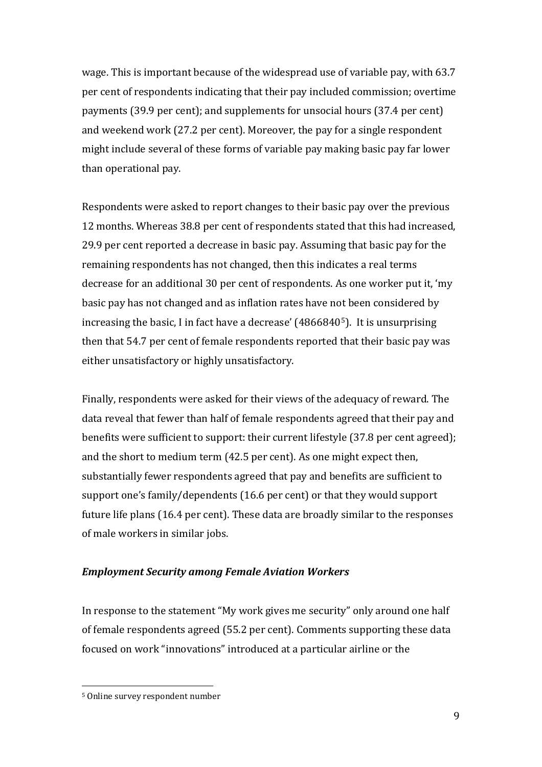wage. This is important because of the widespread use of variable pay, with 63.7 per cent of respondents indicating that their pay included commission; overtime payments (39.9 per cent); and supplements for unsocial hours (37.4 per cent) and weekend work (27.2 per cent). Moreover, the pay for a single respondent might include several of these forms of variable pay making basic pay far lower than operational pay.

Respondents were asked to report changes to their basic pay over the previous 12 months. Whereas 38.8 per cent of respondents stated that this had increased, 29.9 per cent reported a decrease in basic pay. Assuming that basic pay for the remaining respondents has not changed, then this indicates a real terms decrease for an additional 30 per cent of respondents. As one worker put it, 'my basic pay has not changed and as inflation rates have not been considered by increasing the basic, I in fact have a decrease' (48668405). It is unsurprising then that 54.7 per cent of female respondents reported that their basic pay was either unsatisfactory or highly unsatisfactory.

Finally, respondents were asked for their views of the adequacy of reward. The data reveal that fewer than half of female respondents agreed that their pay and benefits were sufficient to support: their current lifestyle (37.8 per cent agreed); and the short to medium term (42.5 per cent). As one might expect then, substantially fewer respondents agreed that pay and benefits are sufficient to support one's family/dependents (16.6 per cent) or that they would support future life plans (16.4 per cent). These data are broadly similar to the responses of male workers in similar jobs.

## *Employment Security among Female Aviation Workers*

In response to the statement "My work gives me security" only around one half of female respondents agreed (55.2 per cent). Comments supporting these data focused on work "innovations" introduced at a particular airline or the

 <sup>5</sup> Online survey respondent number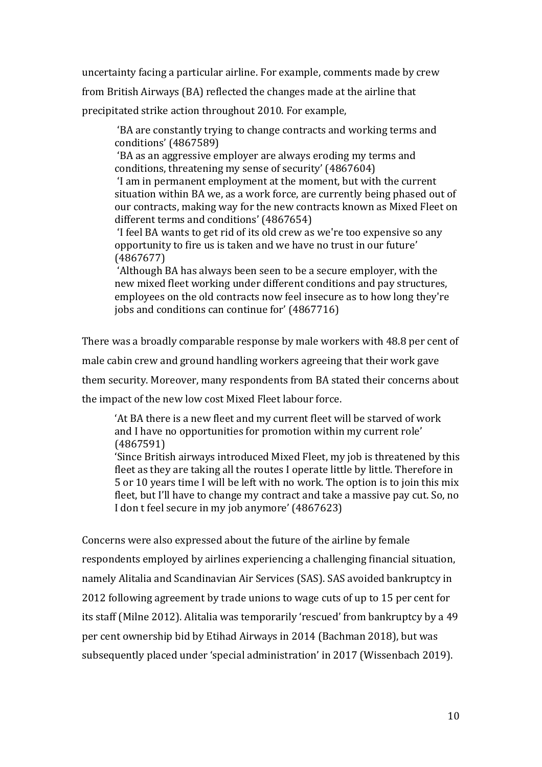uncertainty facing a particular airline. For example, comments made by crew from British Airways (BA) reflected the changes made at the airline that precipitated strike action throughout 2010. For example,

'BA are constantly trying to change contracts and working terms and conditions' (4867589)

'BA as an aggressive employer are always eroding my terms and conditions, threatening my sense of security' (4867604)

'I am in permanent employment at the moment, but with the current situation within BA we, as a work force, are currently being phased out of our contracts, making way for the new contracts known as Mixed Fleet on different terms and conditions' (4867654)

'I feel BA wants to get rid of its old crew as we're too expensive so any opportunity to fire us is taken and we have no trust in our future' (4867677)

'Although BA has always been seen to be a secure employer, with the new mixed fleet working under different conditions and pay structures, employees on the old contracts now feel insecure as to how long they're jobs and conditions can continue for' (4867716)

There was a broadly comparable response by male workers with 48.8 per cent of

male cabin crew and ground handling workers agreeing that their work gave

them security. Moreover, many respondents from BA stated their concerns about

the impact of the new low cost Mixed Fleet labour force.

'At BA there is a new fleet and my current fleet will be starved of work and I have no opportunities for promotion within my current role' (4867591)

'Since British airways introduced Mixed Fleet, my job is threatened by this fleet as they are taking all the routes I operate little by little. Therefore in 5 or 10 years time I will be left with no work. The option is to join this mix fleet, but I'll have to change my contract and take a massive pay cut. So, no I don t feel secure in my job anymore' (4867623)

Concerns were also expressed about the future of the airline by female respondents employed by airlines experiencing a challenging financial situation, namely Alitalia and Scandinavian Air Services (SAS). SAS avoided bankruptcy in 2012 following agreement by trade unions to wage cuts of up to 15 per cent for its staff (Milne 2012). Alitalia was temporarily 'rescued' from bankruptcy by a 49 per cent ownership bid by Etihad Airways in 2014 (Bachman 2018), but was subsequently placed under 'special administration' in 2017 (Wissenbach 2019).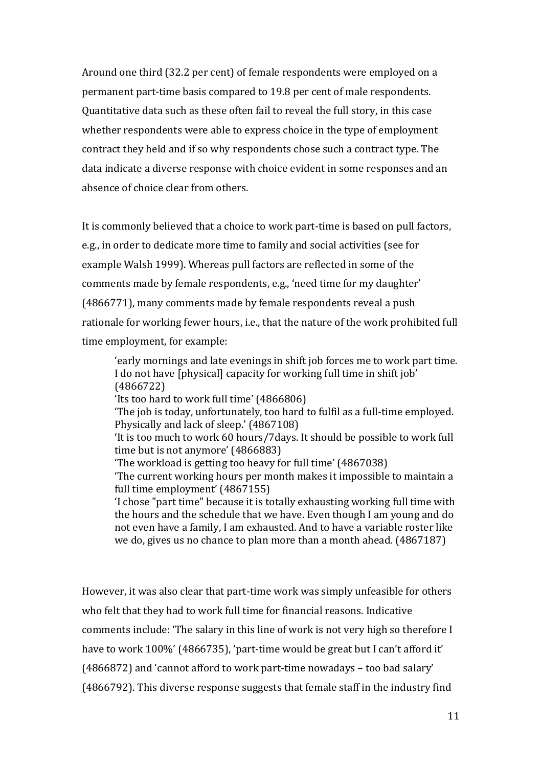Around one third (32.2 per cent) of female respondents were employed on a permanent part-time basis compared to 19.8 per cent of male respondents. Quantitative data such as these often fail to reveal the full story, in this case whether respondents were able to express choice in the type of employment contract they held and if so why respondents chose such a contract type. The data indicate a diverse response with choice evident in some responses and an absence of choice clear from others.

It is commonly believed that a choice to work part-time is based on pull factors, e.g., in order to dedicate more time to family and social activities (see for example Walsh 1999). Whereas pull factors are reflected in some of the comments made by female respondents, e.g., 'need time for my daughter' (4866771), many comments made by female respondents reveal a push rationale for working fewer hours, i.e., that the nature of the work prohibited full time employment, for example:

'early mornings and late evenings in shift job forces me to work part time. I do not have [physical] capacity for working full time in shift job' (4866722) 'Its too hard to work full time' (4866806) 'The job is today, unfortunately, too hard to fulfil as a full-time employed. Physically and lack of sleep.' (4867108) 'It is too much to work 60 hours/7days. It should be possible to work full time but is not anymore' (4866883) 'The workload is getting too heavy for full time' (4867038) 'The current working hours per month makes it impossible to maintain a full time employment' (4867155) 'I chose "part time" because it is totally exhausting working full time with the hours and the schedule that we have. Even though I am young and do not even have a family, I am exhausted. And to have a variable roster like we do, gives us no chance to plan more than a month ahead. (4867187)

However, it was also clear that part-time work was simply unfeasible for others who felt that they had to work full time for financial reasons. Indicative comments include: 'The salary in this line of work is not very high so therefore I have to work 100%' (4866735), 'part-time would be great but I can't afford it' (4866872) and 'cannot afford to work part-time nowadays – too bad salary' (4866792). This diverse response suggests that female staff in the industry find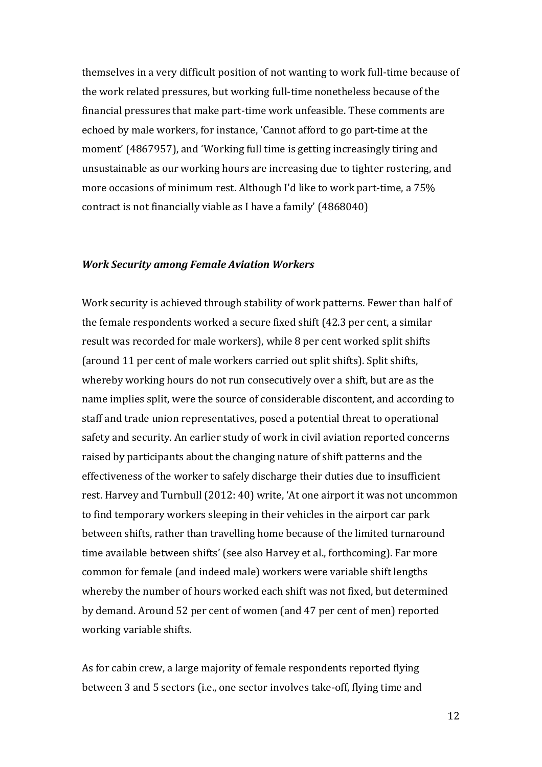themselves in a very difficult position of not wanting to work full-time because of the work related pressures, but working full-time nonetheless because of the financial pressures that make part-time work unfeasible. These comments are echoed by male workers, for instance, 'Cannot afford to go part-time at the moment' (4867957), and 'Working full time is getting increasingly tiring and unsustainable as our working hours are increasing due to tighter rostering, and more occasions of minimum rest. Although I'd like to work part-time, a 75% contract is not financially viable as I have a family' (4868040)

## *Work Security among Female Aviation Workers*

Work security is achieved through stability of work patterns. Fewer than half of the female respondents worked a secure fixed shift (42.3 per cent, a similar result was recorded for male workers), while 8 per cent worked split shifts (around 11 per cent of male workers carried out split shifts). Split shifts, whereby working hours do not run consecutively over a shift, but are as the name implies split, were the source of considerable discontent, and according to staff and trade union representatives, posed a potential threat to operational safety and security. An earlier study of work in civil aviation reported concerns raised by participants about the changing nature of shift patterns and the effectiveness of the worker to safely discharge their duties due to insufficient rest. Harvey and Turnbull (2012: 40) write, 'At one airport it was not uncommon to find temporary workers sleeping in their vehicles in the airport car park between shifts, rather than travelling home because of the limited turnaround time available between shifts' (see also Harvey et al., forthcoming). Far more common for female (and indeed male) workers were variable shift lengths whereby the number of hours worked each shift was not fixed, but determined by demand. Around 52 per cent of women (and 47 per cent of men) reported working variable shifts.

As for cabin crew, a large majority of female respondents reported flying between 3 and 5 sectors (i.e., one sector involves take-off, flying time and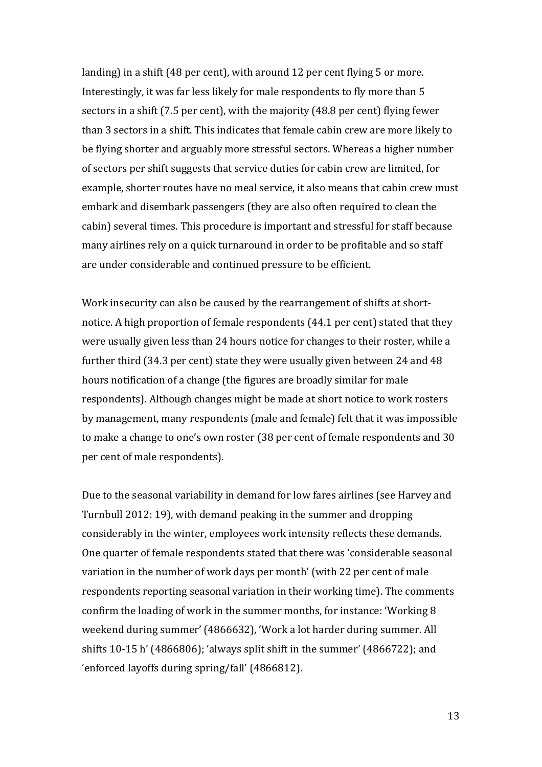landing) in a shift (48 per cent), with around 12 per cent flying 5 or more. Interestingly, it was far less likely for male respondents to fly more than 5 sectors in a shift (7.5 per cent), with the majority (48.8 per cent) flying fewer than 3 sectors in a shift. This indicates that female cabin crew are more likely to be flying shorter and arguably more stressful sectors. Whereas a higher number of sectors per shift suggests that service duties for cabin crew are limited, for example, shorter routes have no meal service, it also means that cabin crew must embark and disembark passengers (they are also often required to clean the cabin) several times. This procedure is important and stressful for staff because many airlines rely on a quick turnaround in order to be profitable and so staff are under considerable and continued pressure to be efficient.

Work insecurity can also be caused by the rearrangement of shifts at shortnotice. A high proportion of female respondents (44.1 per cent) stated that they were usually given less than 24 hours notice for changes to their roster, while a further third (34.3 per cent) state they were usually given between 24 and 48 hours notification of a change (the figures are broadly similar for male respondents). Although changes might be made at short notice to work rosters by management, many respondents (male and female) felt that it was impossible to make a change to one's own roster (38 per cent of female respondents and 30 per cent of male respondents).

Due to the seasonal variability in demand for low fares airlines (see Harvey and Turnbull 2012: 19), with demand peaking in the summer and dropping considerably in the winter, employees work intensity reflects these demands. One quarter of female respondents stated that there was 'considerable seasonal variation in the number of work days per month' (with 22 per cent of male respondents reporting seasonal variation in their working time). The comments confirm the loading of work in the summer months, for instance: 'Working 8 weekend during summer' (4866632), 'Work a lot harder during summer. All shifts 10-15 h' (4866806); 'always split shift in the summer' (4866722); and 'enforced layoffs during spring/fall' (4866812).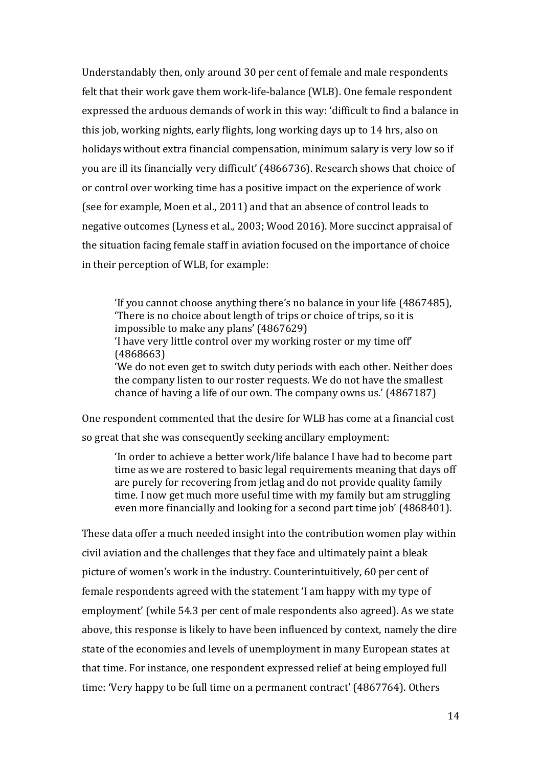Understandably then, only around 30 per cent of female and male respondents felt that their work gave them work-life-balance (WLB). One female respondent expressed the arduous demands of work in this way: 'difficult to find a balance in this job, working nights, early flights, long working days up to 14 hrs, also on holidays without extra financial compensation, minimum salary is very low so if you are ill its financially very difficult' (4866736). Research shows that choice of or control over working time has a positive impact on the experience of work (see for example, Moen et al., 2011) and that an absence of control leads to negative outcomes (Lyness et al., 2003; Wood 2016). More succinct appraisal of the situation facing female staff in aviation focused on the importance of choice in their perception of WLB, for example:

'If you cannot choose anything there's no balance in your life (4867485), 'There is no choice about length of trips or choice of trips, so it is impossible to make any plans' (4867629) 'I have very little control over my working roster or my time off' (4868663) 'We do not even get to switch duty periods with each other. Neither does the company listen to our roster requests. We do not have the smallest chance of having a life of our own. The company owns us.' (4867187)

One respondent commented that the desire for WLB has come at a financial cost so great that she was consequently seeking ancillary employment:

'In order to achieve a better work/life balance I have had to become part time as we are rostered to basic legal requirements meaning that days off are purely for recovering from jetlag and do not provide quality family time. I now get much more useful time with my family but am struggling even more financially and looking for a second part time job' (4868401).

These data offer a much needed insight into the contribution women play within civil aviation and the challenges that they face and ultimately paint a bleak picture of women's work in the industry. Counterintuitively, 60 per cent of female respondents agreed with the statement 'I am happy with my type of employment' (while 54.3 per cent of male respondents also agreed). As we state above, this response is likely to have been influenced by context, namely the dire state of the economies and levels of unemployment in many European states at that time. For instance, one respondent expressed relief at being employed full time: 'Very happy to be full time on a permanent contract' (4867764). Others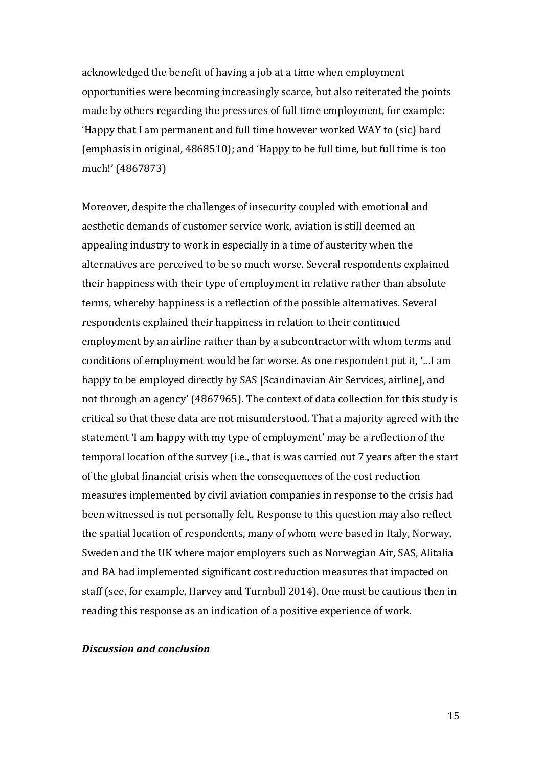acknowledged the benefit of having a job at a time when employment opportunities were becoming increasingly scarce, but also reiterated the points made by others regarding the pressures of full time employment, for example: 'Happy that I am permanent and full time however worked WAY to (sic) hard (emphasis in original, 4868510); and 'Happy to be full time, but full time is too much!' (4867873)

Moreover, despite the challenges of insecurity coupled with emotional and aesthetic demands of customer service work, aviation is still deemed an appealing industry to work in especially in a time of austerity when the alternatives are perceived to be so much worse. Several respondents explained their happiness with their type of employment in relative rather than absolute terms, whereby happiness is a reflection of the possible alternatives. Several respondents explained their happiness in relation to their continued employment by an airline rather than by a subcontractor with whom terms and conditions of employment would be far worse. As one respondent put it, '…I am happy to be employed directly by SAS [Scandinavian Air Services, airline], and not through an agency' (4867965). The context of data collection for this study is critical so that these data are not misunderstood. That a majority agreed with the statement 'I am happy with my type of employment' may be a reflection of the temporal location of the survey (i.e., that is was carried out 7 years after the start of the global financial crisis when the consequences of the cost reduction measures implemented by civil aviation companies in response to the crisis had been witnessed is not personally felt. Response to this question may also reflect the spatial location of respondents, many of whom were based in Italy, Norway, Sweden and the UK where major employers such as Norwegian Air, SAS, Alitalia and BA had implemented significant cost reduction measures that impacted on staff (see, for example, Harvey and Turnbull 2014). One must be cautious then in reading this response as an indication of a positive experience of work.

## *Discussion and conclusion*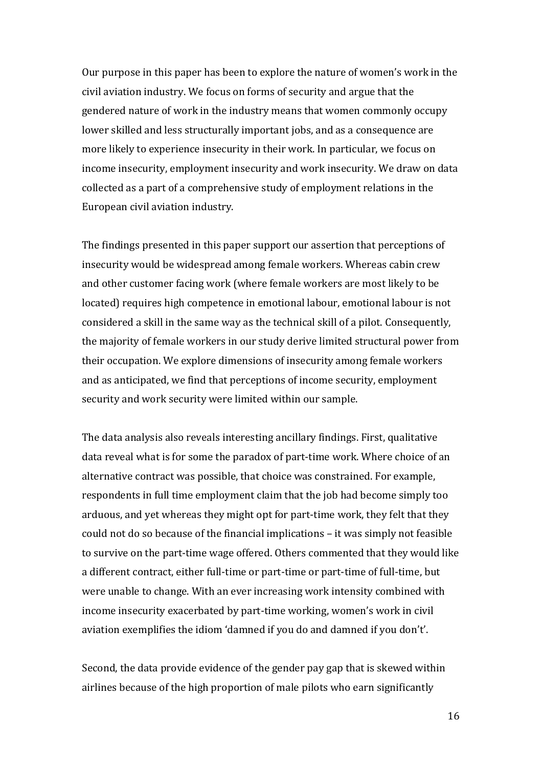Our purpose in this paper has been to explore the nature of women's work in the civil aviation industry. We focus on forms of security and argue that the gendered nature of work in the industry means that women commonly occupy lower skilled and less structurally important jobs, and as a consequence are more likely to experience insecurity in their work. In particular, we focus on income insecurity, employment insecurity and work insecurity. We draw on data collected as a part of a comprehensive study of employment relations in the European civil aviation industry.

The findings presented in this paper support our assertion that perceptions of insecurity would be widespread among female workers. Whereas cabin crew and other customer facing work (where female workers are most likely to be located) requires high competence in emotional labour, emotional labour is not considered a skill in the same way as the technical skill of a pilot. Consequently, the majority of female workers in our study derive limited structural power from their occupation. We explore dimensions of insecurity among female workers and as anticipated, we find that perceptions of income security, employment security and work security were limited within our sample.

The data analysis also reveals interesting ancillary findings. First, qualitative data reveal what is for some the paradox of part-time work. Where choice of an alternative contract was possible, that choice was constrained. For example, respondents in full time employment claim that the job had become simply too arduous, and yet whereas they might opt for part-time work, they felt that they could not do so because of the financial implications – it was simply not feasible to survive on the part-time wage offered. Others commented that they would like a different contract, either full-time or part-time or part-time of full-time, but were unable to change. With an ever increasing work intensity combined with income insecurity exacerbated by part-time working, women's work in civil aviation exemplifies the idiom 'damned if you do and damned if you don't'.

Second, the data provide evidence of the gender pay gap that is skewed within airlines because of the high proportion of male pilots who earn significantly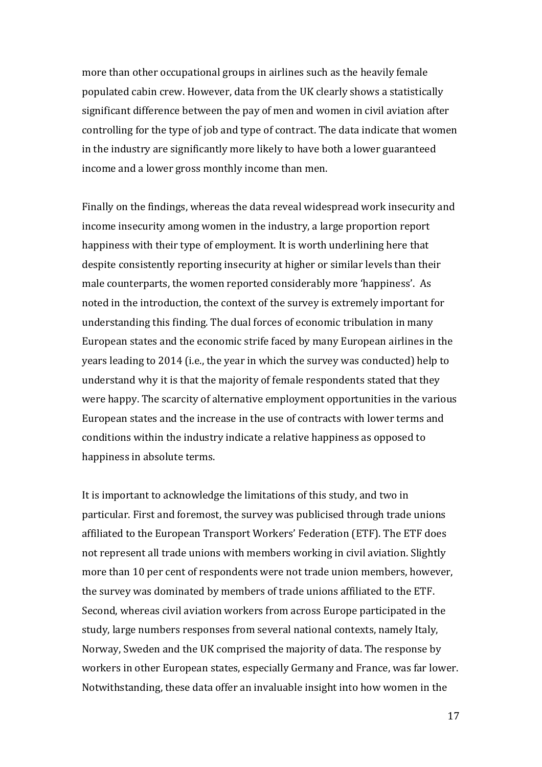more than other occupational groups in airlines such as the heavily female populated cabin crew. However, data from the UK clearly shows a statistically significant difference between the pay of men and women in civil aviation after controlling for the type of job and type of contract. The data indicate that women in the industry are significantly more likely to have both a lower guaranteed income and a lower gross monthly income than men.

Finally on the findings, whereas the data reveal widespread work insecurity and income insecurity among women in the industry, a large proportion report happiness with their type of employment. It is worth underlining here that despite consistently reporting insecurity at higher or similar levels than their male counterparts, the women reported considerably more 'happiness'. As noted in the introduction, the context of the survey is extremely important for understanding this finding. The dual forces of economic tribulation in many European states and the economic strife faced by many European airlines in the years leading to 2014 (i.e., the year in which the survey was conducted) help to understand why it is that the majority of female respondents stated that they were happy. The scarcity of alternative employment opportunities in the various European states and the increase in the use of contracts with lower terms and conditions within the industry indicate a relative happiness as opposed to happiness in absolute terms.

It is important to acknowledge the limitations of this study, and two in particular. First and foremost, the survey was publicised through trade unions affiliated to the European Transport Workers' Federation (ETF). The ETF does not represent all trade unions with members working in civil aviation. Slightly more than 10 per cent of respondents were not trade union members, however, the survey was dominated by members of trade unions affiliated to the ETF. Second, whereas civil aviation workers from across Europe participated in the study, large numbers responses from several national contexts, namely Italy, Norway, Sweden and the UK comprised the majority of data. The response by workers in other European states, especially Germany and France, was far lower. Notwithstanding, these data offer an invaluable insight into how women in the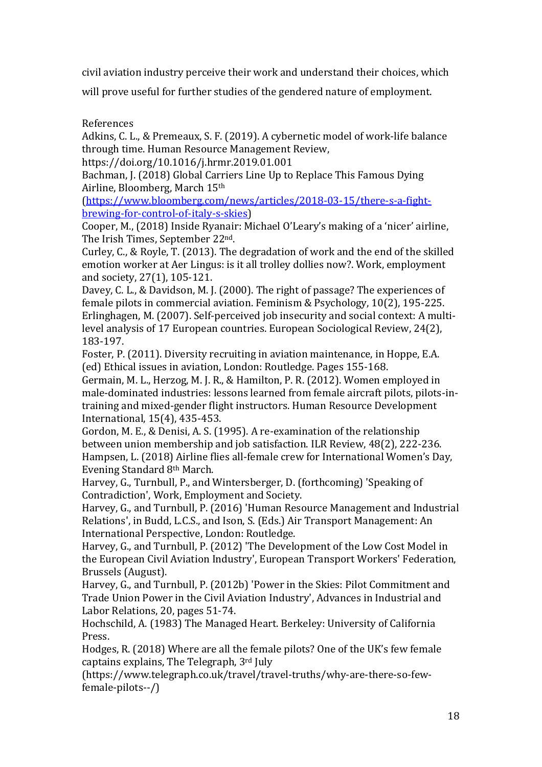civil aviation industry perceive their work and understand their choices, which

will prove useful for further studies of the gendered nature of employment.

References

Adkins, C. L., & Premeaux, S. F. (2019). A cybernetic model of work-life balance through time. Human Resource Management Review,

https://doi.org/10.1016/j.hrmr.2019.01.001

Bachman, J. (2018) Global Carriers Line Up to Replace This Famous Dying Airline, Bloomberg, March 15th

(https://www.bloomberg.com/news/articles/2018-03-15/there-s-a-fightbrewing-for-control-of-italy-s-skies)

Cooper, M., (2018) Inside Ryanair: Michael O'Leary's making of a 'nicer' airline, The Irish Times, September 22nd.

Curley, C., & Royle, T. (2013). The degradation of work and the end of the skilled emotion worker at Aer Lingus: is it all trolley dollies now?. Work, employment and society, 27(1), 105-121.

Davey, C. L., & Davidson, M. J. (2000). The right of passage? The experiences of female pilots in commercial aviation. Feminism & Psychology, 10(2), 195-225. Erlinghagen, M. (2007). Self-perceived job insecurity and social context: A multilevel analysis of 17 European countries. European Sociological Review, 24(2), 183-197.

Foster, P. (2011). Diversity recruiting in aviation maintenance, in Hoppe, E.A. (ed) Ethical issues in aviation, London: Routledge. Pages 155-168.

Germain, M. L., Herzog, M. J. R., & Hamilton, P. R. (2012). Women employed in male-dominated industries: lessons learned from female aircraft pilots, pilots-intraining and mixed-gender flight instructors. Human Resource Development International, 15(4), 435-453.

Gordon, M. E., & Denisi, A. S. (1995). A re-examination of the relationship between union membership and job satisfaction. ILR Review, 48(2), 222-236. Hampsen, L. (2018) Airline flies all-female crew for International Women's Day, Evening Standard 8th March.

Harvey, G., Turnbull, P., and Wintersberger, D. (forthcoming) 'Speaking of Contradiction', Work, Employment and Society.

Harvey, G., and Turnbull, P. (2016) 'Human Resource Management and Industrial Relations', in Budd, L.C.S., and Ison, S. (Eds.) Air Transport Management: An International Perspective, London: Routledge.

Harvey, G., and Turnbull, P. (2012) 'The Development of the Low Cost Model in the European Civil Aviation Industry', European Transport Workers' Federation, Brussels (August).

Harvey, G., and Turnbull, P. (2012b) 'Power in the Skies: Pilot Commitment and Trade Union Power in the Civil Aviation Industry', Advances in Industrial and Labor Relations, 20, pages 51-74.

Hochschild, A. (1983) The Managed Heart. Berkeley: University of California Press.

Hodges, R. (2018) Where are all the female pilots? One of the UK's few female captains explains, The Telegraph, 3rd July

(https://www.telegraph.co.uk/travel/travel-truths/why-are-there-so-fewfemale-pilots--/)